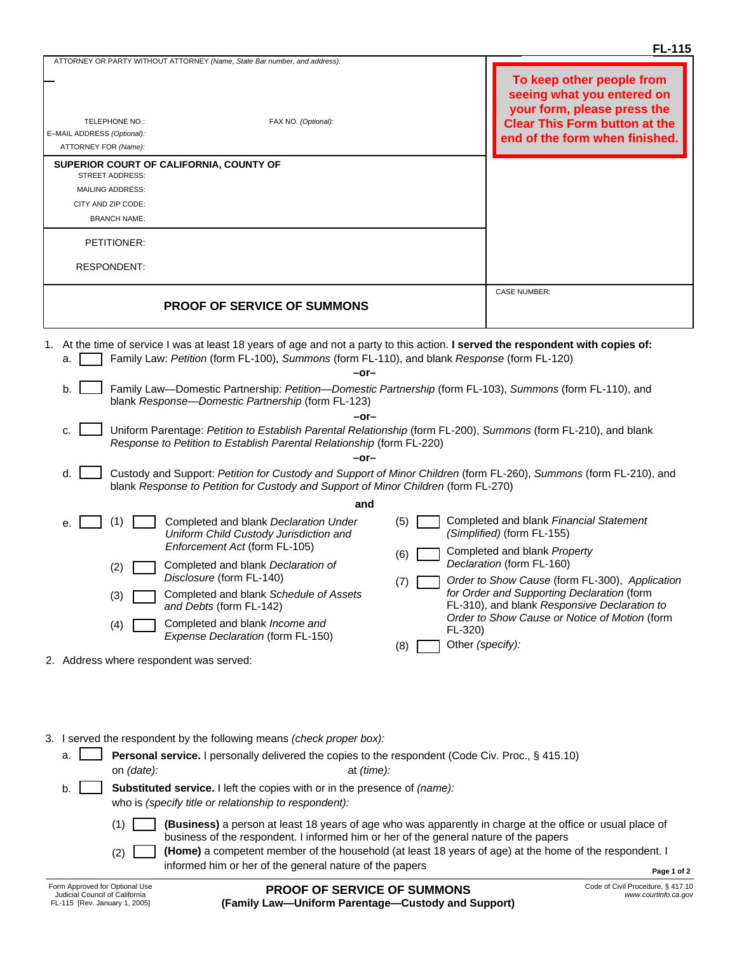| <b>FL-115</b>                                                                                                                                                                                                                                                                                                                                                                                                                                                                                                                                                                                                                                                                                                                                                                                                                                                                                                                                                                                                                                                                                                                                                                                                                                                                        |                                     |                                                                                                                                                                  |  |  |  |
|--------------------------------------------------------------------------------------------------------------------------------------------------------------------------------------------------------------------------------------------------------------------------------------------------------------------------------------------------------------------------------------------------------------------------------------------------------------------------------------------------------------------------------------------------------------------------------------------------------------------------------------------------------------------------------------------------------------------------------------------------------------------------------------------------------------------------------------------------------------------------------------------------------------------------------------------------------------------------------------------------------------------------------------------------------------------------------------------------------------------------------------------------------------------------------------------------------------------------------------------------------------------------------------|-------------------------------------|------------------------------------------------------------------------------------------------------------------------------------------------------------------|--|--|--|
| ATTORNEY OR PARTY WITHOUT ATTORNEY (Name, State Bar number, and address):                                                                                                                                                                                                                                                                                                                                                                                                                                                                                                                                                                                                                                                                                                                                                                                                                                                                                                                                                                                                                                                                                                                                                                                                            |                                     |                                                                                                                                                                  |  |  |  |
| FAX NO. (Optional):<br>TELEPHONE NO.:<br>E-MAIL ADDRESS (Optional):<br>ATTORNEY FOR (Name):                                                                                                                                                                                                                                                                                                                                                                                                                                                                                                                                                                                                                                                                                                                                                                                                                                                                                                                                                                                                                                                                                                                                                                                          |                                     | To keep other people from<br>seeing what you entered on<br>your form, please press the<br><b>Clear This Form button at the</b><br>end of the form when finished. |  |  |  |
| SUPERIOR COURT OF CALIFORNIA, COUNTY OF                                                                                                                                                                                                                                                                                                                                                                                                                                                                                                                                                                                                                                                                                                                                                                                                                                                                                                                                                                                                                                                                                                                                                                                                                                              |                                     |                                                                                                                                                                  |  |  |  |
| <b>STREET ADDRESS:</b><br><b>MAILING ADDRESS:</b>                                                                                                                                                                                                                                                                                                                                                                                                                                                                                                                                                                                                                                                                                                                                                                                                                                                                                                                                                                                                                                                                                                                                                                                                                                    |                                     |                                                                                                                                                                  |  |  |  |
| CITY AND ZIP CODE:                                                                                                                                                                                                                                                                                                                                                                                                                                                                                                                                                                                                                                                                                                                                                                                                                                                                                                                                                                                                                                                                                                                                                                                                                                                                   |                                     |                                                                                                                                                                  |  |  |  |
| <b>BRANCH NAME:</b>                                                                                                                                                                                                                                                                                                                                                                                                                                                                                                                                                                                                                                                                                                                                                                                                                                                                                                                                                                                                                                                                                                                                                                                                                                                                  |                                     |                                                                                                                                                                  |  |  |  |
| PETITIONER:                                                                                                                                                                                                                                                                                                                                                                                                                                                                                                                                                                                                                                                                                                                                                                                                                                                                                                                                                                                                                                                                                                                                                                                                                                                                          |                                     |                                                                                                                                                                  |  |  |  |
| <b>RESPONDENT:</b>                                                                                                                                                                                                                                                                                                                                                                                                                                                                                                                                                                                                                                                                                                                                                                                                                                                                                                                                                                                                                                                                                                                                                                                                                                                                   |                                     |                                                                                                                                                                  |  |  |  |
|                                                                                                                                                                                                                                                                                                                                                                                                                                                                                                                                                                                                                                                                                                                                                                                                                                                                                                                                                                                                                                                                                                                                                                                                                                                                                      |                                     | <b>CASE NUMBER:</b>                                                                                                                                              |  |  |  |
| <b>PROOF OF SERVICE OF SUMMONS</b>                                                                                                                                                                                                                                                                                                                                                                                                                                                                                                                                                                                                                                                                                                                                                                                                                                                                                                                                                                                                                                                                                                                                                                                                                                                   |                                     |                                                                                                                                                                  |  |  |  |
|                                                                                                                                                                                                                                                                                                                                                                                                                                                                                                                                                                                                                                                                                                                                                                                                                                                                                                                                                                                                                                                                                                                                                                                                                                                                                      |                                     |                                                                                                                                                                  |  |  |  |
| 1. At the time of service I was at least 18 years of age and not a party to this action. I served the respondent with copies of:<br>Family Law: Petition (form FL-100), Summons (form FL-110), and blank Response (form FL-120)<br>a.<br>-or-<br>Family Law—Domestic Partnership: Petition—Domestic Partnership (form FL-103), Summons (form FL-110), and<br>b.<br>blank Response-Domestic Partnership (form FL-123)<br>-or-<br>Uniform Parentage: Petition to Establish Parental Relationship (form FL-200), Summons (form FL-210), and blank<br>c.<br>Response to Petition to Establish Parental Relationship (form FL-220)<br>-or-<br>d.<br>Custody and Support: Petition for Custody and Support of Minor Children (form FL-260), Summons (form FL-210), and<br>blank Response to Petition for Custody and Support of Minor Children (form FL-270)<br>and<br>Completed and blank Financial Statement<br>(5)<br>(1)<br>Completed and blank Declaration Under<br>е.<br>(Simplified) (form FL-155)<br>Uniform Child Custody Jurisdiction and<br>Enforcement Act (form FL-105)<br>Completed and blank Property<br>(6)<br>Declaration (form FL-160)<br>Completed and blank Declaration of<br>(2)<br>Disclosure (form FL-140)<br>Order to Show Cause (form FL-300), Application<br>(7) |                                     |                                                                                                                                                                  |  |  |  |
| Completed and blank Schedule of Assets<br>(3)<br>and Debts (form FL-142)<br>Completed and blank Income and<br>(4)<br>Expense Declaration (form FL-150)                                                                                                                                                                                                                                                                                                                                                                                                                                                                                                                                                                                                                                                                                                                                                                                                                                                                                                                                                                                                                                                                                                                               | $FL-320$<br>Other (specify):<br>(8) | for Order and Supporting Declaration (form<br>FL-310), and blank Responsive Declaration to<br>Order to Show Cause or Notice of Motion (form                      |  |  |  |
| 2. Address where respondent was served:                                                                                                                                                                                                                                                                                                                                                                                                                                                                                                                                                                                                                                                                                                                                                                                                                                                                                                                                                                                                                                                                                                                                                                                                                                              |                                     |                                                                                                                                                                  |  |  |  |
|                                                                                                                                                                                                                                                                                                                                                                                                                                                                                                                                                                                                                                                                                                                                                                                                                                                                                                                                                                                                                                                                                                                                                                                                                                                                                      |                                     |                                                                                                                                                                  |  |  |  |
|                                                                                                                                                                                                                                                                                                                                                                                                                                                                                                                                                                                                                                                                                                                                                                                                                                                                                                                                                                                                                                                                                                                                                                                                                                                                                      |                                     |                                                                                                                                                                  |  |  |  |
|                                                                                                                                                                                                                                                                                                                                                                                                                                                                                                                                                                                                                                                                                                                                                                                                                                                                                                                                                                                                                                                                                                                                                                                                                                                                                      |                                     |                                                                                                                                                                  |  |  |  |

3. I served the respondent by the following means *(check proper box):*

| a. | on (date):                                                                                                                         | <b>Personal service.</b> I personally delivered the copies to the respondent (Code Civ. Proc., § 415.10)<br>at <i>(time)</i> :                                                                     |             |
|----|------------------------------------------------------------------------------------------------------------------------------------|----------------------------------------------------------------------------------------------------------------------------------------------------------------------------------------------------|-------------|
|    | Substituted service. I left the copies with or in the presence of (name):<br>who is (specify title or relationship to respondent): |                                                                                                                                                                                                    |             |
|    |                                                                                                                                    | (Business) a person at least 18 years of age who was apparently in charge at the office or usual place of<br>business of the respondent. I informed him or her of the general nature of the papers |             |
|    | (2)                                                                                                                                | (Home) a competent member of the household (at least 18 years of age) at the home of the respondent. I<br>informed him or her of the general nature of the papers                                  | Page 1 of 2 |